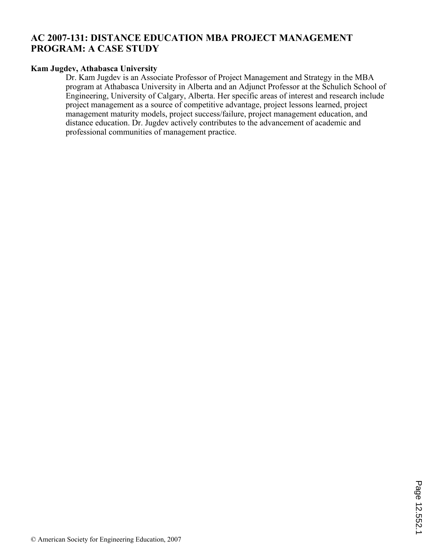# **AC 2007-131: DISTANCE EDUCATION MBA PROJECT MANAGEMENT PROGRAM: A CASE STUDY**

#### **Kam Jugdev, Athabasca University**

Dr. Kam Jugdev is an Associate Professor of Project Management and Strategy in the MBA program at Athabasca University in Alberta and an Adjunct Professor at the Schulich School of Engineering, University of Calgary, Alberta. Her specific areas of interest and research include project management as a source of competitive advantage, project lessons learned, project management maturity models, project success/failure, project management education, and distance education. Dr. Jugdev actively contributes to the advancement of academic and professional communities of management practice.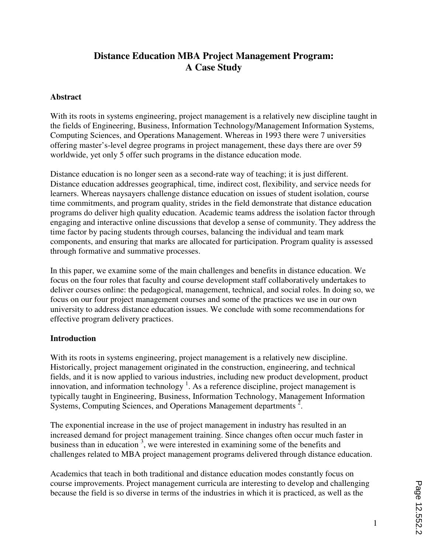# **Distance Education MBA Project Management Program: A Case Study**

#### **Abstract**

With its roots in systems engineering, project management is a relatively new discipline taught in the fields of Engineering, Business, Information Technology/Management Information Systems, Computing Sciences, and Operations Management. Whereas in 1993 there were 7 universities offering master's-level degree programs in project management, these days there are over 59 worldwide, yet only 5 offer such programs in the distance education mode.

Distance education is no longer seen as a second-rate way of teaching; it is just different. Distance education addresses geographical, time, indirect cost, flexibility, and service needs for learners. Whereas naysayers challenge distance education on issues of student isolation, course time commitments, and program quality, strides in the field demonstrate that distance education programs do deliver high quality education. Academic teams address the isolation factor through engaging and interactive online discussions that develop a sense of community. They address the time factor by pacing students through courses, balancing the individual and team mark components, and ensuring that marks are allocated for participation. Program quality is assessed through formative and summative processes.

In this paper, we examine some of the main challenges and benefits in distance education. We focus on the four roles that faculty and course development staff collaboratively undertakes to deliver courses online: the pedagogical, management, technical, and social roles. In doing so, we focus on our four project management courses and some of the practices we use in our own university to address distance education issues. We conclude with some recommendations for effective program delivery practices.

#### **Introduction**

With its roots in systems engineering, project management is a relatively new discipline. Historically, project management originated in the construction, engineering, and technical fields, and it is now applied to various industries, including new product development, product innovation, and information technology<sup>1</sup>. As a reference discipline, project management is typically taught in Engineering, Business, Information Technology, Management Information Systems, Computing Sciences, and Operations Management departments  $\overline{2}$ .

The exponential increase in the use of project management in industry has resulted in an increased demand for project management training. Since changes often occur much faster in business than in education  $3$ , we were interested in examining some of the benefits and challenges related to MBA project management programs delivered through distance education.

Academics that teach in both traditional and distance education modes constantly focus on course improvements. Project management curricula are interesting to develop and challenging because the field is so diverse in terms of the industries in which it is practiced, as well as the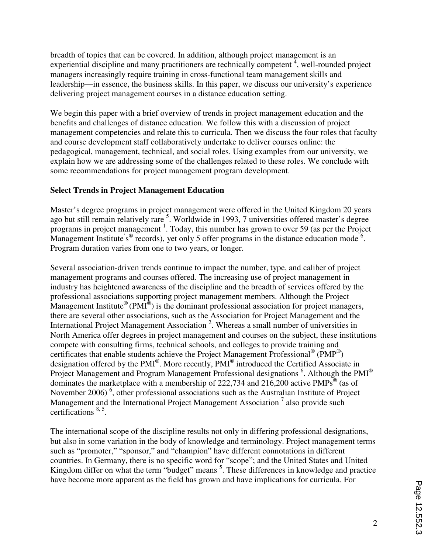breadth of topics that can be covered. In addition, although project management is an experiential discipline and many practitioners are technically competent  $\frac{1}{4}$ , well-rounded project managers increasingly require training in cross-functional team management skills and leadership—in essence, the business skills. In this paper, we discuss our university's experience delivering project management courses in a distance education setting.

We begin this paper with a brief overview of trends in project management education and the benefits and challenges of distance education. We follow this with a discussion of project management competencies and relate this to curricula. Then we discuss the four roles that faculty and course development staff collaboratively undertake to deliver courses online: the pedagogical, management, technical, and social roles. Using examples from our university, we explain how we are addressing some of the challenges related to these roles. We conclude with some recommendations for project management program development.

# **Select Trends in Project Management Education**

Master's degree programs in project management were offered in the United Kingdom 20 years ago but still remain relatively rare <sup>5</sup>. Worldwide in 1993, 7 universities offered master's degree programs in project management <sup>1</sup>. Today, this number has grown to over 59 (as per the Project Management Institute's<sup>®</sup> records), yet only 5 offer programs in the distance education mode  $6$ . Program duration varies from one to two years, or longer.

Several association-driven trends continue to impact the number, type, and caliber of project management programs and courses offered. The increasing use of project management in industry has heightened awareness of the discipline and the breadth of services offered by the professional associations supporting project management members. Although the Project Management Institute<sup>®</sup> (PMI<sup>®</sup>) is the dominant professional association for project managers, there are several other associations, such as the Association for Project Management and the International Project Management Association<sup>2</sup>. Whereas a small number of universities in North America offer degrees in project management and courses on the subject, these institutions compete with consulting firms, technical schools, and colleges to provide training and certificates that enable students achieve the Project Management Professional<sup>®</sup> (PMP<sup>®</sup>) designation offered by the PMI®. More recently, PMI® introduced the Certified Associate in Project Management and Program Management Professional designations <sup>6</sup>. Although the PMI<sup>®</sup> dominates the marketplace with a membership of 222,734 and 216,200 active  $PMPs^{\circledast}$  (as of November 2006)<sup>6</sup>, other professional associations such as the Australian Institute of Project Management and the International Project Management Association<sup>7</sup> also provide such certifications 8, 5 .

The international scope of the discipline results not only in differing professional designations, but also in some variation in the body of knowledge and terminology. Project management terms such as "promoter," "sponsor," and "champion" have different connotations in different countries. In Germany, there is no specific word for "scope"; and the United States and United Kingdom differ on what the term "budget" means <sup>5</sup>. These differences in knowledge and practice have become more apparent as the field has grown and have implications for curricula. For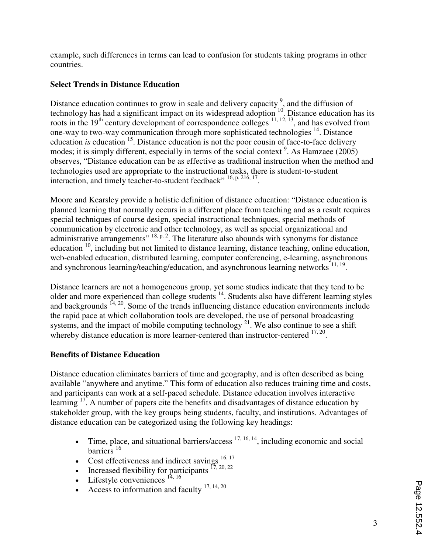example, such differences in terms can lead to confusion for students taking programs in other countries.

# **Select Trends in Distance Education**

Distance education continues to grow in scale and delivery capacity  $\frac{9}{2}$ , and the diffusion of technology has had a significant impact on its widespread adoption <sup>10</sup>. Distance education has its roots in the  $19<sup>th</sup>$  century development of correspondence colleges  $11, 12, 13$ , and has evolved from one-way to two-way communication through more sophisticated technologies <sup>14</sup>. Distance education *is* education <sup>15</sup>. Distance education is not the poor cousin of face-to-face delivery modes; it is simply different, especially in terms of the social context<sup>9</sup>. As Hamzaee (2005) observes, "Distance education can be as effective as traditional instruction when the method and technologies used are appropriate to the instructional tasks, there is student-to-student interaction, and timely teacher-to-student feedback" <sup>16, p. 216, 17</sup>.

Moore and Kearsley provide a holistic definition of distance education: "Distance education is planned learning that normally occurs in a different place from teaching and as a result requires special techniques of course design, special instructional techniques, special methods of communication by electronic and other technology, as well as special organizational and administrative arrangements"  $^{18, p. 2}$ . The literature also abounds with synonyms for distance education  $\frac{10}{10}$ , including but not limited to distance learning, distance teaching, online education, web-enabled education, distributed learning, computer conferencing, e-learning, asynchronous and synchronous learning/teaching/education, and asynchronous learning networks<sup>11, 19</sup>.

Distance learners are not a homogeneous group, yet some studies indicate that they tend to be older and more experienced than college students <sup>14</sup>. Students also have different learning styles and backgrounds  $14, 20$ . Some of the trends influencing distance education environments include the rapid pace at which collaboration tools are developed, the use of personal broadcasting systems, and the impact of mobile computing technology<sup>21</sup>. We also continue to see a shift whereby distance education is more learner-centered than instructor-centered  $17, 20$ .

# **Benefits of Distance Education**

Distance education eliminates barriers of time and geography, and is often described as being available "anywhere and anytime." This form of education also reduces training time and costs, and participants can work at a self-paced schedule. Distance education involves interactive learning <sup>17</sup>. A number of papers cite the benefits and disadvantages of distance education by stakeholder group, with the key groups being students, faculty, and institutions. Advantages of distance education can be categorized using the following key headings:

- Time, place, and situational barriers/access  $17, 16, 14$ , including economic and social barriers<sup>16</sup>
- Cost effectiveness and indirect savings  $16, 17$
- Increased flexibility for participants  $^{17, 20, 22}$
- Lifestyle conveniences  $^{14, 16}$
- Access to information and faculty  $17, 14, 20$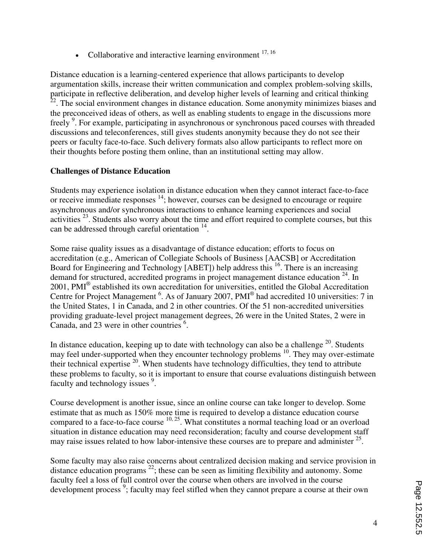• Collaborative and interactive learning environment  $17, 16$ 

Distance education is a learning-centered experience that allows participants to develop argumentation skills, increase their written communication and complex problem-solving skills, participate in reflective deliberation, and develop higher levels of learning and critical thinking  $22$ . The social environment changes in distance education. Some anonymity minimizes biases and the preconceived ideas of others, as well as enabling students to engage in the discussions more freely<sup>9</sup>. For example, participating in asynchronous or synchronous paced courses with threaded discussions and teleconferences, still gives students anonymity because they do not see their peers or faculty face-to-face. Such delivery formats also allow participants to reflect more on their thoughts before posting them online, than an institutional setting may allow.

# **Challenges of Distance Education**

Students may experience isolation in distance education when they cannot interact face-to-face or receive immediate responses <sup>14</sup>; however, courses can be designed to encourage or require asynchronous and/or synchronous interactions to enhance learning experiences and social activities  $^{23}$ . Students also worry about the time and effort required to complete courses, but this can be addressed through careful orientation  $14$ .

Some raise quality issues as a disadvantage of distance education; efforts to focus on accreditation (e.g., American of Collegiate Schools of Business [AACSB] or Accreditation Board for Engineering and Technology [ABET]) help address this <sup>16</sup>. There is an increasing demand for structured, accredited programs in project management distance education  $24$ . In 2001, PMI® established its own accreditation for universities, entitled the Global Accreditation Centre for Project Management  $^6$ . As of January 2007, PMI $^{\circledR}$  had accredited 10 universities: 7 in the United States, 1 in Canada, and 2 in other countries. Of the 51 non-accredited universities providing graduate-level project management degrees, 26 were in the United States, 2 were in Canada, and 23 were in other countries  $6$ .

In distance education, keeping up to date with technology can also be a challenge  $20$ . Students may feel under-supported when they encounter technology problems <sup>10</sup>. They may over-estimate their technical expertise  $20$ . When students have technology difficulties, they tend to attribute these problems to faculty, so it is important to ensure that course evaluations distinguish between faculty and technology issues <sup>9</sup>.

Course development is another issue, since an online course can take longer to develop. Some estimate that as much as 150% more time is required to develop a distance education course compared to a face-to-face course  $10, 25$ . What constitutes a normal teaching load or an overload situation in distance education may need reconsideration; faculty and course development staff may raise issues related to how labor-intensive these courses are to prepare and administer  $25$ .

Some faculty may also raise concerns about centralized decision making and service provision in distance education programs  $^{22}$ ; these can be seen as limiting flexibility and autonomy. Some faculty feel a loss of full control over the course when others are involved in the course development process<sup>9</sup>; faculty may feel stifled when they cannot prepare a course at their own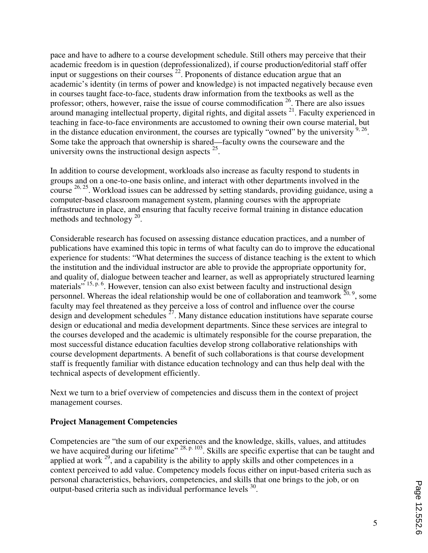pace and have to adhere to a course development schedule. Still others may perceive that their academic freedom is in question (deprofessionalized), if course production/editorial staff offer input or suggestions on their courses  $^{22}$ . Proponents of distance education argue that an academic's identity (in terms of power and knowledge) is not impacted negatively because even in courses taught face-to-face, students draw information from the textbooks as well as the professor; others, however, raise the issue of course commodification  $26$ . There are also issues around managing intellectual property, digital rights, and digital assets <sup>21</sup>. Faculty experienced in teaching in face-to-face environments are accustomed to owning their own course material, but in the distance education environment, the courses are typically "owned" by the university  $9, 26$ . Some take the approach that ownership is shared—faculty owns the courseware and the university owns the instructional design aspects  $25$ .

In addition to course development, workloads also increase as faculty respond to students in groups and on a one-to-one basis online, and interact with other departments involved in the course <sup>26, 25</sup>. Workload issues can be addressed by setting standards, providing guidance, using a computer-based classroom management system, planning courses with the appropriate infrastructure in place, and ensuring that faculty receive formal training in distance education methods and technology  $^{20}$ .

Considerable research has focused on assessing distance education practices, and a number of publications have examined this topic in terms of what faculty can do to improve the educational experience for students: "What determines the success of distance teaching is the extent to which the institution and the individual instructor are able to provide the appropriate opportunity for, and quality of, dialogue between teacher and learner, as well as appropriately structured learning materials" <sup>15, p. 6</sup>. However, tension can also exist between faculty and instructional design personnel. Whereas the ideal relationship would be one of collaboration and teamwork  $^{20,9}$ , some faculty may feel threatened as they perceive a loss of control and influence over the course design and development schedules  $^{27}$ . Many distance education institutions have separate course design or educational and media development departments. Since these services are integral to the courses developed and the academic is ultimately responsible for the course preparation, the most successful distance education faculties develop strong collaborative relationships with course development departments. A benefit of such collaborations is that course development staff is frequently familiar with distance education technology and can thus help deal with the technical aspects of development efficiently.

Next we turn to a brief overview of competencies and discuss them in the context of project management courses.

# **Project Management Competencies**

Competencies are "the sum of our experiences and the knowledge, skills, values, and attitudes we have acquired during our lifetime" <sup>28, p. 103</sup>. Skills are specific expertise that can be taught and applied at work  $^{29}$ , and a capability is the ability to apply skills and other competences in a context perceived to add value. Competency models focus either on input-based criteria such as personal characteristics, behaviors, competencies, and skills that one brings to the job, or on output-based criteria such as individual performance levels <sup>30</sup>.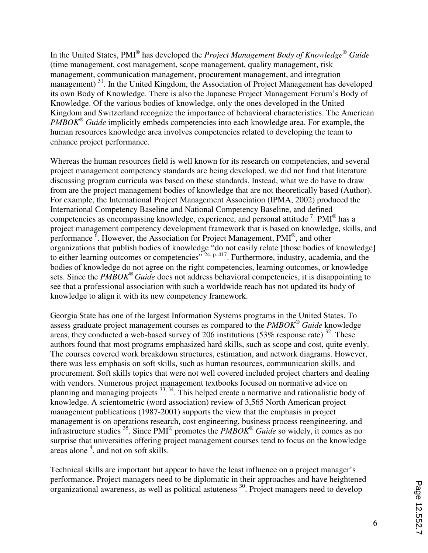In the United States, PMI® has developed the *Project Management Body of Knowledge® Guide* (time management, cost management, scope management, quality management, risk management, communication management, procurement management, and integration management)<sup>31</sup>. In the United Kingdom, the Association of Project Management has developed its own Body of Knowledge. There is also the Japanese Project Management Forum's Body of Knowledge. Of the various bodies of knowledge, only the ones developed in the United Kingdom and Switzerland recognize the importance of behavioral characteristics. The American *PMBOK® Guide* implicitly embeds competencies into each knowledge area. For example, the human resources knowledge area involves competencies related to developing the team to enhance project performance.

Whereas the human resources field is well known for its research on competencies, and several project management competency standards are being developed, we did not find that literature discussing program curricula was based on these standards. Instead, what we do have to draw from are the project management bodies of knowledge that are not theoretically based (Author). For example, the International Project Management Association (IPMA, 2002) produced the International Competency Baseline and National Competency Baseline, and defined competencies as encompassing knowledge, experience, and personal attitude  $7$ . PMI<sup>®</sup> has a project management competency development framework that is based on knowledge, skills, and performance  $\overline{6}$ . However, the Association for Project Management, PMI $\degree$ , and other organizations that publish bodies of knowledge "do not easily relate [those bodies of knowledge] to either learning outcomes or competencies" <sup>24, p. 417</sup>. Furthermore, industry, academia, and the bodies of knowledge do not agree on the right competencies, learning outcomes, or knowledge sets. Since the *PMBOK® Guide* does not address behavioral competencies, it is disappointing to see that a professional association with such a worldwide reach has not updated its body of knowledge to align it with its new competency framework.

Georgia State has one of the largest Information Systems programs in the United States. To assess graduate project management courses as compared to the *PMBOK® Guide* knowledge areas, they conducted a web-based survey of 206 institutions  $(53\%$  response rate)  $^{32}$ . These authors found that most programs emphasized hard skills, such as scope and cost, quite evenly. The courses covered work breakdown structures, estimation, and network diagrams. However, there was less emphasis on soft skills, such as human resources, communication skills, and procurement. Soft skills topics that were not well covered included project charters and dealing with vendors. Numerous project management textbooks focused on normative advice on planning and managing projects  $33, 34$ . This helped create a normative and rationalistic body of knowledge. A scientometric (word association) review of 3,565 North American project management publications (1987-2001) supports the view that the emphasis in project management is on operations research, cost engineering, business process reengineering, and infrastructure studies  $35$ . Since PMI<sup>®</sup> promotes the *PMBOK*<sup>®</sup> *Guide* so widely, it comes as no surprise that universities offering project management courses tend to focus on the knowledge areas alone<sup>4</sup>, and not on soft skills.

Technical skills are important but appear to have the least influence on a project manager's performance. Project managers need to be diplomatic in their approaches and have heightened organizational awareness, as well as political astuteness  $^{30}$ . Project managers need to develop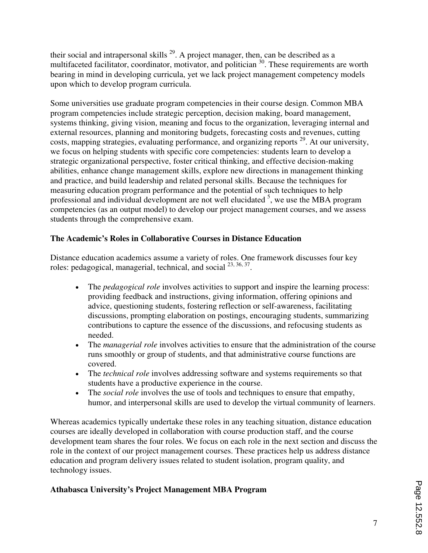their social and intrapersonal skills  $^{29}$ . A project manager, then, can be described as a multifaceted facilitator, coordinator, motivator, and politician  $30$ . These requirements are worth bearing in mind in developing curricula, yet we lack project management competency models upon which to develop program curricula.

Some universities use graduate program competencies in their course design. Common MBA program competencies include strategic perception, decision making, board management, systems thinking, giving vision, meaning and focus to the organization, leveraging internal and external resources, planning and monitoring budgets, forecasting costs and revenues, cutting costs, mapping strategies, evaluating performance, and organizing reports <sup>29</sup>. At our university, we focus on helping students with specific core competencies: students learn to develop a strategic organizational perspective, foster critical thinking, and effective decision-making abilities, enhance change management skills, explore new directions in management thinking and practice, and build leadership and related personal skills. Because the techniques for measuring education program performance and the potential of such techniques to help professional and individual development are not well elucidated <sup>5</sup>, we use the MBA program competencies (as an output model) to develop our project management courses, and we assess students through the comprehensive exam.

# **The Academic's Roles in Collaborative Courses in Distance Education**

Distance education academics assume a variety of roles. One framework discusses four key roles: pedagogical, managerial, technical, and social <sup>23, 36, 37</sup>.

- The *pedagogical role* involves activities to support and inspire the learning process: providing feedback and instructions, giving information, offering opinions and advice, questioning students, fostering reflection or self-awareness, facilitating discussions, prompting elaboration on postings, encouraging students, summarizing contributions to capture the essence of the discussions, and refocusing students as needed.
- The *managerial role* involves activities to ensure that the administration of the course runs smoothly or group of students, and that administrative course functions are covered.
- The *technical role* involves addressing software and systems requirements so that students have a productive experience in the course.
- The *social role* involves the use of tools and techniques to ensure that empathy, humor, and interpersonal skills are used to develop the virtual community of learners.

Whereas academics typically undertake these roles in any teaching situation, distance education courses are ideally developed in collaboration with course production staff, and the course development team shares the four roles. We focus on each role in the next section and discuss the role in the context of our project management courses. These practices help us address distance education and program delivery issues related to student isolation, program quality, and technology issues.

# **Athabasca University's Project Management MBA Program**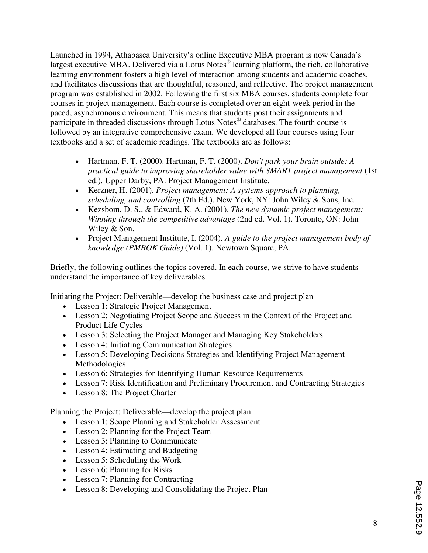Launched in 1994, Athabasca University's online Executive MBA program is now Canada's largest executive MBA. Delivered via a Lotus Notes<sup>®</sup> learning platform, the rich, collaborative learning environment fosters a high level of interaction among students and academic coaches, and facilitates discussions that are thoughtful, reasoned, and reflective. The project management program was established in 2002. Following the first six MBA courses, students complete four courses in project management. Each course is completed over an eight-week period in the paced, asynchronous environment. This means that students post their assignments and participate in threaded discussions through Lotus Notes® databases. The fourth course is followed by an integrative comprehensive exam. We developed all four courses using four textbooks and a set of academic readings. The textbooks are as follows:

- Hartman, F. T. (2000). Hartman, F. T. (2000). *Don't park your brain outside: A practical guide to improving shareholder value with SMART project management* (1st ed.). Upper Darby, PA: Project Management Institute.
- Kerzner, H. (2001). *Project management: A systems approach to planning, scheduling, and controlling* (7th Ed.). New York, NY: John Wiley & Sons, Inc.
- Kezsbom, D. S., & Edward, K. A. (2001). *The new dynamic project management: Winning through the competitive advantage* (2nd ed. Vol. 1). Toronto, ON: John Wiley & Son.
- Project Management Institute, I. (2004). *A guide to the project management body of knowledge (PMBOK Guide)* (Vol. 1). Newtown Square, PA.

Briefly, the following outlines the topics covered. In each course, we strive to have students understand the importance of key deliverables.

Initiating the Project: Deliverable—develop the business case and project plan

- Lesson 1: Strategic Project Management
- Lesson 2: Negotiating Project Scope and Success in the Context of the Project and Product Life Cycles
- Lesson 3: Selecting the Project Manager and Managing Key Stakeholders
- Lesson 4: Initiating Communication Strategies
- Lesson 5: Developing Decisions Strategies and Identifying Project Management Methodologies
- Lesson 6: Strategies for Identifying Human Resource Requirements
- Lesson 7: Risk Identification and Preliminary Procurement and Contracting Strategies
- Lesson 8: The Project Charter

Planning the Project: Deliverable—develop the project plan

- Lesson 1: Scope Planning and Stakeholder Assessment
- Lesson 2: Planning for the Project Team
- Lesson 3: Planning to Communicate
- Lesson 4: Estimating and Budgeting
- Lesson 5: Scheduling the Work
- Lesson 6: Planning for Risks
- Lesson 7: Planning for Contracting
- Lesson 8: Developing and Consolidating the Project Plan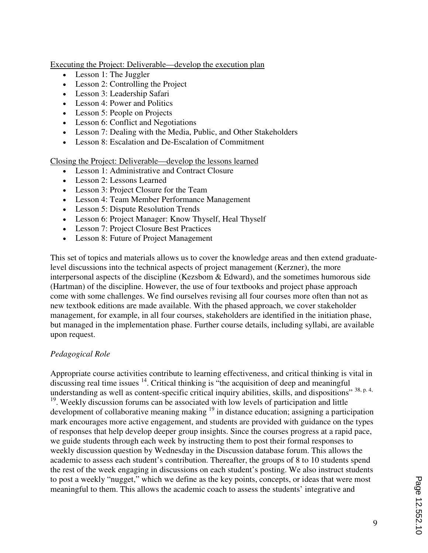Executing the Project: Deliverable—develop the execution plan

- Lesson 1: The Juggler
- Lesson 2: Controlling the Project
- Lesson 3: Leadership Safari
- Lesson 4: Power and Politics
- Lesson 5: People on Projects
- Lesson 6: Conflict and Negotiations
- Lesson 7: Dealing with the Media, Public, and Other Stakeholders
- Lesson 8: Escalation and De-Escalation of Commitment

Closing the Project: Deliverable—develop the lessons learned

- Lesson 1: Administrative and Contract Closure
- Lesson 2: Lessons Learned
- Lesson 3: Project Closure for the Team
- Lesson 4: Team Member Performance Management
- Lesson 5: Dispute Resolution Trends
- Lesson 6: Project Manager: Know Thyself, Heal Thyself
- Lesson 7: Project Closure Best Practices
- Lesson 8: Future of Project Management

This set of topics and materials allows us to cover the knowledge areas and then extend graduatelevel discussions into the technical aspects of project management (Kerzner), the more interpersonal aspects of the discipline (Kezsbom & Edward), and the sometimes humorous side (Hartman) of the discipline. However, the use of four textbooks and project phase approach come with some challenges. We find ourselves revising all four courses more often than not as new textbook editions are made available. With the phased approach, we cover stakeholder management, for example, in all four courses, stakeholders are identified in the initiation phase, but managed in the implementation phase. Further course details, including syllabi, are available upon request.

#### *Pedagogical Role*

Appropriate course activities contribute to learning effectiveness, and critical thinking is vital in discussing real time issues <sup>14</sup>. Critical thinking is "the acquisition of deep and meaningful understanding as well as content-specific critical inquiry abilities, skills, and dispositions" 38, p. 4, <sup>19</sup>. Weekly discussion forums can be associated with low levels of participation and little development of collaborative meaning making  $19$  in distance education; assigning a participation mark encourages more active engagement, and students are provided with guidance on the types of responses that help develop deeper group insights. Since the courses progress at a rapid pace, we guide students through each week by instructing them to post their formal responses to weekly discussion question by Wednesday in the Discussion database forum. This allows the academic to assess each student's contribution. Thereafter, the groups of 8 to 10 students spend the rest of the week engaging in discussions on each student's posting. We also instruct students to post a weekly "nugget," which we define as the key points, concepts, or ideas that were most meaningful to them. This allows the academic coach to assess the students' integrative and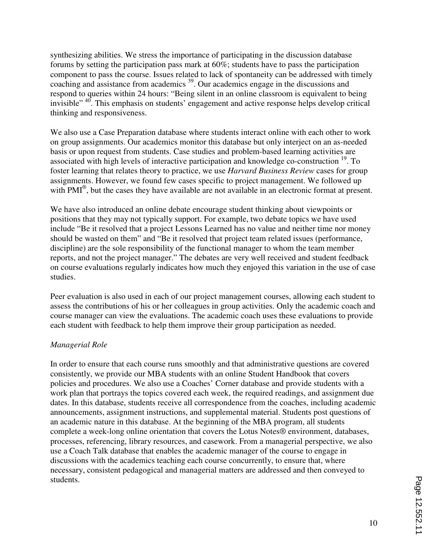synthesizing abilities. We stress the importance of participating in the discussion database forums by setting the participation pass mark at 60%; students have to pass the participation component to pass the course. Issues related to lack of spontaneity can be addressed with timely coaching and assistance from academics <sup>39</sup>. Our academics engage in the discussions and respond to queries within 24 hours: "Being silent in an online classroom is equivalent to being invisible"<sup>40</sup>. This emphasis on students' engagement and active response helps develop critical thinking and responsiveness.

We also use a Case Preparation database where students interact online with each other to work on group assignments. Our academics monitor this database but only interject on an as-needed basis or upon request from students. Case studies and problem-based learning activities are associated with high levels of interactive participation and knowledge co-construction <sup>19</sup>. To foster learning that relates theory to practice, we use *Harvard Business Review* cases for group assignments. However, we found few cases specific to project management. We followed up with PMI<sup>®</sup>, but the cases they have available are not available in an electronic format at present.

We have also introduced an online debate encourage student thinking about viewpoints or positions that they may not typically support. For example, two debate topics we have used include "Be it resolved that a project Lessons Learned has no value and neither time nor money should be wasted on them" and "Be it resolved that project team related issues (performance, discipline) are the sole responsibility of the functional manager to whom the team member reports, and not the project manager." The debates are very well received and student feedback on course evaluations regularly indicates how much they enjoyed this variation in the use of case studies.

Peer evaluation is also used in each of our project management courses, allowing each student to assess the contributions of his or her colleagues in group activities. Only the academic coach and course manager can view the evaluations. The academic coach uses these evaluations to provide each student with feedback to help them improve their group participation as needed.

#### *Managerial Role*

In order to ensure that each course runs smoothly and that administrative questions are covered consistently, we provide our MBA students with an online Student Handbook that covers policies and procedures. We also use a Coaches' Corner database and provide students with a work plan that portrays the topics covered each week, the required readings, and assignment due dates. In this database, students receive all correspondence from the coaches, including academic announcements, assignment instructions, and supplemental material. Students post questions of an academic nature in this database. At the beginning of the MBA program, all students complete a week-long online orientation that covers the Lotus Notes® environment, databases, processes, referencing, library resources, and casework. From a managerial perspective, we also use a Coach Talk database that enables the academic manager of the course to engage in discussions with the academics teaching each course concurrently, to ensure that, where necessary, consistent pedagogical and managerial matters are addressed and then conveyed to students.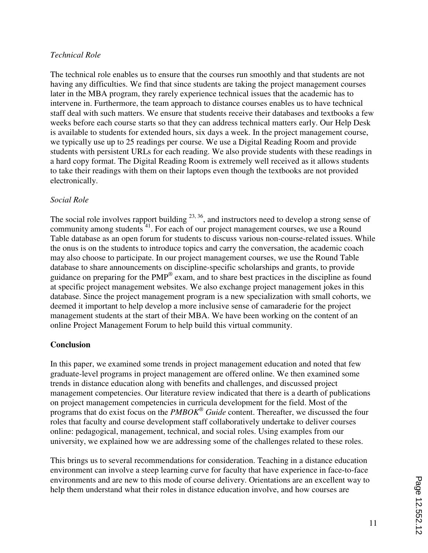#### *Technical Role*

The technical role enables us to ensure that the courses run smoothly and that students are not having any difficulties. We find that since students are taking the project management courses later in the MBA program, they rarely experience technical issues that the academic has to intervene in. Furthermore, the team approach to distance courses enables us to have technical staff deal with such matters. We ensure that students receive their databases and textbooks a few weeks before each course starts so that they can address technical matters early. Our Help Desk is available to students for extended hours, six days a week. In the project management course, we typically use up to 25 readings per course. We use a Digital Reading Room and provide students with persistent URLs for each reading. We also provide students with these readings in a hard copy format. The Digital Reading Room is extremely well received as it allows students to take their readings with them on their laptops even though the textbooks are not provided electronically.

#### *Social Role*

The social role involves rapport building  $23, 36$ , and instructors need to develop a strong sense of community among students  $1\overline{1}$ . For each of our project management courses, we use a Round Table database as an open forum for students to discuss various non-course-related issues. While the onus is on the students to introduce topics and carry the conversation, the academic coach may also choose to participate. In our project management courses, we use the Round Table database to share announcements on discipline-specific scholarships and grants, to provide guidance on preparing for the PMP® exam, and to share best practices in the discipline as found at specific project management websites. We also exchange project management jokes in this database. Since the project management program is a new specialization with small cohorts, we deemed it important to help develop a more inclusive sense of camaraderie for the project management students at the start of their MBA. We have been working on the content of an online Project Management Forum to help build this virtual community.

# **Conclusion**

In this paper, we examined some trends in project management education and noted that few graduate-level programs in project management are offered online. We then examined some trends in distance education along with benefits and challenges, and discussed project management competencies. Our literature review indicated that there is a dearth of publications on project management competencies in curricula development for the field. Most of the programs that do exist focus on the *PMBOK<sup>®</sup>* Guide content. Thereafter, we discussed the four roles that faculty and course development staff collaboratively undertake to deliver courses online: pedagogical, management, technical, and social roles. Using examples from our university, we explained how we are addressing some of the challenges related to these roles.

This brings us to several recommendations for consideration. Teaching in a distance education environment can involve a steep learning curve for faculty that have experience in face-to-face environments and are new to this mode of course delivery. Orientations are an excellent way to help them understand what their roles in distance education involve, and how courses are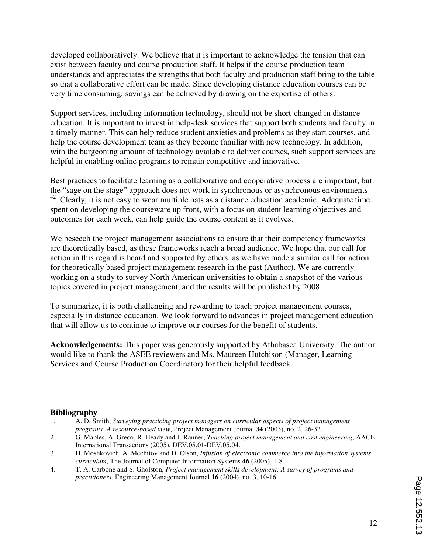developed collaboratively. We believe that it is important to acknowledge the tension that can exist between faculty and course production staff. It helps if the course production team understands and appreciates the strengths that both faculty and production staff bring to the table so that a collaborative effort can be made. Since developing distance education courses can be very time consuming, savings can be achieved by drawing on the expertise of others.

Support services, including information technology, should not be short-changed in distance education. It is important to invest in help-desk services that support both students and faculty in a timely manner. This can help reduce student anxieties and problems as they start courses, and help the course development team as they become familiar with new technology. In addition, with the burgeoning amount of technology available to deliver courses, such support services are helpful in enabling online programs to remain competitive and innovative.

Best practices to facilitate learning as a collaborative and cooperative process are important, but the "sage on the stage" approach does not work in synchronous or asynchronous environments <sup>42</sup>. Clearly, it is not easy to wear multiple hats as a distance education academic. Adequate time spent on developing the courseware up front, with a focus on student learning objectives and outcomes for each week, can help guide the course content as it evolves.

We beseech the project management associations to ensure that their competency frameworks are theoretically based, as these frameworks reach a broad audience. We hope that our call for action in this regard is heard and supported by others, as we have made a similar call for action for theoretically based project management research in the past (Author). We are currently working on a study to survey North American universities to obtain a snapshot of the various topics covered in project management, and the results will be published by 2008.

To summarize, it is both challenging and rewarding to teach project management courses, especially in distance education. We look forward to advances in project management education that will allow us to continue to improve our courses for the benefit of students.

**Acknowledgements:** This paper was generously supported by Athabasca University. The author would like to thank the ASEE reviewers and Ms. Maureen Hutchison (Manager, Learning Services and Course Production Coordinator) for their helpful feedback.

#### **Bibliography**

- 1. A. D. Smith, *Surveying practicing project managers on curricular aspects of project management programs: A resource-based view*, Project Management Journal **34** (2003), no. 2, 26-33.
- 2. G. Maples, A. Greco, R. Heady and J. Ranner, *Teaching project management and cost engineering*, AACE International Transactions (2005), DEV.05.01-DEV.05.04.
- 3. H. Moshkovich, A. Mechitov and D. Olson, *Infusion of electronic commerce into the information systems curriculum*, The Journal of Computer Information Systems **46** (2005), 1-8.
- 4. T. A. Carbone and S. Gholston, *Project management skills development: A survey of programs and practitioners*, Engineering Management Journal **16** (2004), no. 3, 10-16.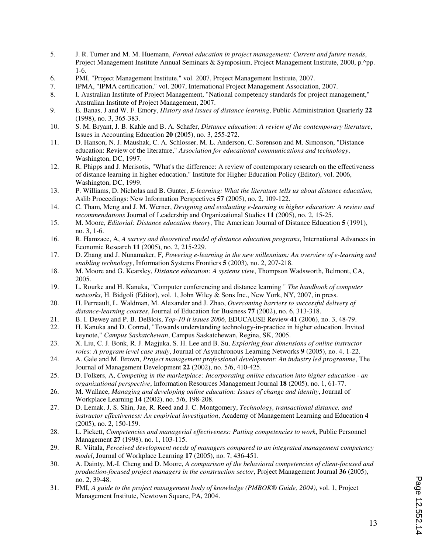- 5. J. R. Turner and M. M. Huemann, *Formal education in project management: Current and future trends*, Project Management Institute Annual Seminars & Symposium, Project Management Institute, 2000, p.^pp. 1-6.
- 6. PMI, "Project Management Institute," vol. 2007, Project Management Institute, 2007.
- 7. IPMA, "IPMA certification," vol. 2007, International Project Management Association, 2007.
- 8. I. Australian Institute of Project Management, "National competency standards for project management," Australian Institute of Project Management, 2007.
- 9. E. Banas, J and W. F. Emory, *History and issues of distance learning*, Public Administration Quarterly **22** (1998), no. 3, 365-383.
- 10. S. M. Bryant, J. B. Kahle and B. A. Schafer, *Distance education: A review of the contemporary literature*, Issues in Accounting Education **20** (2005), no. 3, 255-272.
- 11. D. Hanson, N. J. Maushak, C. A. Schlosser, M. L. Anderson, C. Sorenson and M. Simonson, "Distance education: Review of the literature," *Association for educational communications and technology*, Washington, DC, 1997.
- 12. R. Phipps and J. Merisotis, "What's the difference: A review of contemporary research on the effectiveness of distance learning in higher education," Institute for Higher Education Policy (Editor), vol. 2006, Washington, DC, 1999.
- 13. P. Williams, D. Nicholas and B. Gunter, *E-learning: What the literature tells us about distance education*, Aslib Proceedings: New Information Perspectives **57** (2005), no. 2, 109-122.
- 14. C. Tham, Meng and J. M. Werner, *Designing and evaluating e-learning in higher education: A review and recommendations* Journal of Leadership and Organizational Studies **11** (2005), no. 2, 15-25.
- 15. M. Moore, *Editorial: Distance education theory*, The American Journal of Distance Education **5** (1991), no. 3, 1-6.
- 16. R. Hamzaee, A, *A survey and theoretical model of distance education programs*, International Advances in Economic Research **11** (2005), no. 2, 215-229.
- 17. D. Zhang and J. Nunamaker, F, *Powering e-learning in the new millennium: An overview of e-learning and enabling technology*, Information Systems Frontiers **5** (2003), no. 2, 207-218.
- 18. M. Moore and G. Kearsley, *Distance education: A systems view*, Thompson Wadsworth, Belmont, CA, 2005.
- 19. L. Rourke and H. Kanuka, "Computer conferencing and distance learning " *The handbook of computer networks*, H. Bidgoli (Editor), vol. 1, John Wiley & Sons Inc., New York, NY, 2007, in press.
- 20. H. Perreault, L. Waldman, M. Alexander and J. Zhao, *Overcoming barriers to successful delivery of distance-learning courses*, Journal of Education for Business **77** (2002), no. 6, 313-318.
- 21. B. I. Dewey and P. B. DeBlois, *Top-10 it issues 2006*, EDUCAUSE Review **41** (2006), no. 3, 48-79.
- 22. H. Kanuka and D. Conrad, "Towards understanding technology-in-practice in higher education. Invited keynote," *Campus Saskatchewan*, Campus Saskatchewan, Regina, SK, 2005.
- 23. X. Liu, C. J. Bonk, R. J. Magjuka, S. H. Lee and B. Su, *Exploring four dimensions of online instructor roles: A program level case study*, Journal of Asynchronous Learning Networks **9** (2005), no. 4, 1-22.
- 24. A. Gale and M. Brown, *Project management professional development: An industry led programme*, The Journal of Management Development **22** (2002), no. 5/6, 410-425.
- 25. D. Folkers, A, *Competing in the marketplace: Incorporating online education into higher education an organizational perspective*, Information Resources Management Journal **18** (2005), no. 1, 61-77.
- 26. M. Wallace, *Managing and developing online education: Issues of change and identity*, Journal of Workplace Learning **14** (2002), no. 5/6, 198-208.
- 27. D. Lemak, J, S. Shin, Jae, R. Reed and J. C. Montgomery, *Technology, transactional distance, and instructor effectiveness: An empirical investigation*, Academy of Management Learning and Education **4** (2005), no. 2, 150-159.
- 28. L. Pickett, *Competencies and managerial effectiveness: Putting competencies to work*, Public Personnel Management **27** (1998), no. 1, 103-115.
- 29. R. Viitala, *Perceived development needs of managers compared to an integrated management competency model*, Journal of Workplace Learning **17** (2005), no. 7, 436-451.
- 30. A. Dainty, M.-I. Cheng and D. Moore, *A comparison of the behavioral competencies of client-focused and production-focused project managers in the construction sector*, Project Management Journal **36** (2005), no. 2, 39-48.
- 31. PMI, *A guide to the project management body of knowledge (PMBOK® Guide, 2004)*, vol. 1, Project Management Institute, Newtown Square, PA, 2004.